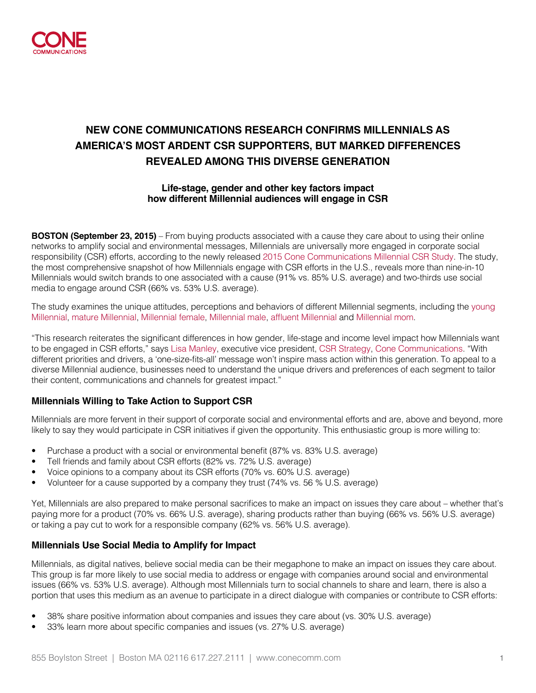

# **NEW CONE COMMUNICATIONS RESEARCH CONFIRMS MILLENNIALS AS AMERICA'S MOST ARDENT CSR SUPPORTERS, BUT MARKED DIFFERENCES REVEALED AMONG THIS DIVERSE GENERATION**

#### **Life-stage, gender and other key factors impact how different Millennial audiences will engage in CSR**

**BOSTON (September 23, 2015)** – From buying products associated with a cause they care about to using their online networks to amplify social and environmental messages, Millennials are universally more engaged in corporate social responsibility (CSR) efforts, according to the newly released [2015 Cone Communications Millennial CSR Study](http://www.conecomm.com/2015-cone-communications-millennial-csr-study). The study, the most comprehensive snapshot of how Millennials engage with CSR efforts in the U.S., reveals more than nine-in-10 Millennials would switch brands to one associated with a cause (91% vs. 85% U.S. average) and two-thirds use social media to engage around CSR (66% vs. 53% U.S. average).

The study examines the unique attitudes, perceptions and behaviors of different Millennial segments, including the [young](http://conemillennialcsr.com/youngmillennial)  [Millennial,](http://conemillennialcsr.com/youngmillennial) [mature Millennial,](http://conemillennialcsr.com/maturemillennial) [Millennial female](http://conemillennialcsr.com/millennialfemale), [Millennial male](http://conemillennialcsr.com/millennialmale), [affluent Millennial](http://conemillennialcsr.com/affluentmillennial) and [Millennial mom](http://conemillennialcsr.com/millennialmom).

"This research reiterates the significant differences in how gender, life-stage and income level impact how Millennials want to be engaged in CSR efforts," says [Lisa Manley](http://www.conecomm.com/lisa-manley), executive vice president, [CSR Strategy,](http://www.conecomm.com/corporate-social-responsibility-1) [Cone Communications.](http://www.conecomm.com/) "With different priorities and drivers, a 'one-size-fits-all' message won't inspire mass action within this generation. To appeal to a diverse Millennial audience, businesses need to understand the unique drivers and preferences of each segment to tailor their content, communications and channels for greatest impact."

#### **Millennials Willing to Take Action to Support CSR**

Millennials are more fervent in their support of corporate social and environmental efforts and are, above and beyond, more likely to say they would participate in CSR initiatives if given the opportunity. This enthusiastic group is more willing to:

- Purchase a product with a social or environmental benefit (87% vs. 83% U.S. average)
- Tell friends and family about CSR efforts (82% vs. 72% U.S. average)
- Voice opinions to a company about its CSR efforts (70% vs. 60% U.S. average)
- Volunteer for a cause supported by a company they trust (74% vs. 56 % U.S. average)

Yet, Millennials are also prepared to make personal sacrifices to make an impact on issues they care about – whether that's paying more for a product (70% vs. 66% U.S. average), sharing products rather than buying (66% vs. 56% U.S. average) or taking a pay cut to work for a responsible company (62% vs. 56% U.S. average).

#### **Millennials Use Social Media to Amplify for Impact**

Millennials, as digital natives, believe social media can be their megaphone to make an impact on issues they care about. This group is far more likely to use social media to address or engage with companies around social and environmental issues (66% vs. 53% U.S. average). Although most Millennials turn to social channels to share and learn, there is also a portion that uses this medium as an avenue to participate in a direct dialogue with companies or contribute to CSR efforts:

- 38% share positive information about companies and issues they care about (vs. 30% U.S. average)
- 33% learn more about specific companies and issues (vs. 27% U.S. average)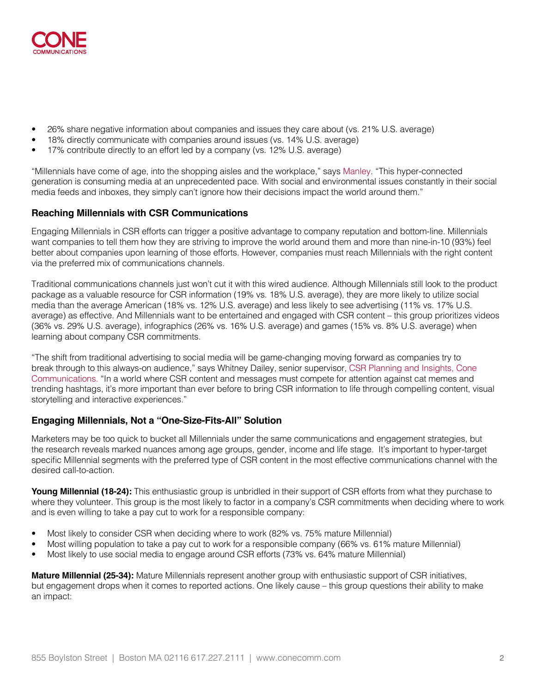

- 26% share negative information about companies and issues they care about (vs. 21% U.S. average)
- 18% directly communicate with companies around issues (vs. 14% U.S. average)
- 17% contribute directly to an effort led by a company (vs. 12% U.S. average)

"Millennials have come of age, into the shopping aisles and the workplace," says [Manley.](http://www.conecomm.com/lisa-manley) "This hyper-connected generation is consuming media at an unprecedented pace. With social and environmental issues constantly in their social media feeds and inboxes, they simply can't ignore how their decisions impact the world around them."

#### **Reaching Millennials with CSR Communications**

Engaging Millennials in CSR efforts can trigger a positive advantage to company reputation and bottom-line. Millennials want companies to tell them how they are striving to improve the world around them and more than nine-in-10 (93%) feel better about companies upon learning of those efforts. However, companies must reach Millennials with the right content via the preferred mix of communications channels.

Traditional communications channels just won't cut it with this wired audience. Although Millennials still look to the product package as a valuable resource for CSR information (19% vs. 18% U.S. average), they are more likely to utilize social media than the average American (18% vs. 12% U.S. average) and less likely to see advertising (11% vs. 17% U.S. average) as effective. And Millennials want to be entertained and engaged with CSR content – this group prioritizes videos (36% vs. 29% U.S. average), infographics (26% vs. 16% U.S. average) and games (15% vs. 8% U.S. average) when learning about company CSR commitments.

"The shift from traditional advertising to social media will be game-changing moving forward as companies try to break through to this always-on audience," says Whitney Dailey, senior supervisor, [CSR Planning and Insights,](http://www.conecomm.com/research) [Cone](http://www.conecomm.com/)  [Communications.](http://www.conecomm.com/) "In a world where CSR content and messages must compete for attention against cat memes and trending hashtags, it's more important than ever before to bring CSR information to life through compelling content, visual storytelling and interactive experiences."

#### **Engaging Millennials, Not a "One-Size-Fits-All" Solution**

Marketers may be too quick to bucket all Millennials under the same communications and engagement strategies, but the research reveals marked nuances among age groups, gender, income and life stage. It's important to hyper-target specific Millennial segments with the preferred type of CSR content in the most effective communications channel with the desired call-to-action.

**Young Millennial (18-24):** This enthusiastic group is unbridled in their support of CSR efforts from what they purchase to where they volunteer. This group is the most likely to factor in a company's CSR commitments when deciding where to work and is even willing to take a pay cut to work for a responsible company:

- Most likely to consider CSR when deciding where to work (82% vs. 75% mature Millennial)
- Most willing population to take a pay cut to work for a responsible company (66% vs. 61% mature Millennial)
- Most likely to use social media to engage around CSR efforts (73% vs. 64% mature Millennial)

**Mature Millennial (25-34):** Mature Millennials represent another group with enthusiastic support of CSR initiatives, but engagement drops when it comes to reported actions. One likely cause – this group questions their ability to make an impact: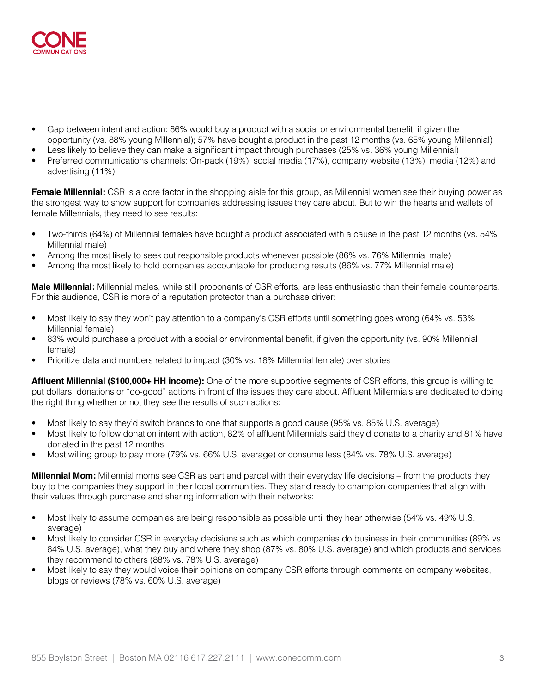

- Gap between intent and action: 86% would buy a product with a social or environmental benefit, if given the opportunity (vs. 88% young Millennial); 57% have bought a product in the past 12 months (vs. 65% young Millennial)
- Less likely to believe they can make a significant impact through purchases (25% vs. 36% young Millennial)
- Preferred communications channels: On-pack (19%), social media (17%), company website (13%), media (12%) and advertising (11%)

**Female Millennial:** CSR is a core factor in the shopping aisle for this group, as Millennial women see their buying power as the strongest way to show support for companies addressing issues they care about. But to win the hearts and wallets of female Millennials, they need to see results:

- Two-thirds (64%) of Millennial females have bought a product associated with a cause in the past 12 months (vs. 54% Millennial male)
- Among the most likely to seek out responsible products whenever possible (86% vs. 76% Millennial male)
- Among the most likely to hold companies accountable for producing results (86% vs. 77% Millennial male)

**Male Millennial:** Millennial males, while still proponents of CSR efforts, are less enthusiastic than their female counterparts. For this audience, CSR is more of a reputation protector than a purchase driver:

- Most likely to say they won't pay attention to a company's CSR efforts until something goes wrong (64% vs. 53% Millennial female)
- 83% would purchase a product with a social or environmental benefit, if given the opportunity (vs. 90% Millennial female)
- Prioritize data and numbers related to impact (30% vs. 18% Millennial female) over stories

**Affluent Millennial (\$100,000+ HH income):** One of the more supportive segments of CSR efforts, this group is willing to put dollars, donations or "do-good" actions in front of the issues they care about. Affluent Millennials are dedicated to doing the right thing whether or not they see the results of such actions:

- Most likely to say they'd switch brands to one that supports a good cause (95% vs. 85% U.S. average)
- Most likely to follow donation intent with action, 82% of affluent Millennials said they'd donate to a charity and 81% have donated in the past 12 months
- Most willing group to pay more (79% vs. 66% U.S. average) or consume less (84% vs. 78% U.S. average)

**Millennial Mom:** Millennial moms see CSR as part and parcel with their everyday life decisions – from the products they buy to the companies they support in their local communities. They stand ready to champion companies that align with their values through purchase and sharing information with their networks:

- Most likely to assume companies are being responsible as possible until they hear otherwise (54% vs. 49% U.S. average)
- Most likely to consider CSR in everyday decisions such as which companies do business in their communities (89% vs. 84% U.S. average), what they buy and where they shop (87% vs. 80% U.S. average) and which products and services they recommend to others (88% vs. 78% U.S. average)
- Most likely to say they would voice their opinions on company CSR efforts through comments on company websites, blogs or reviews (78% vs. 60% U.S. average)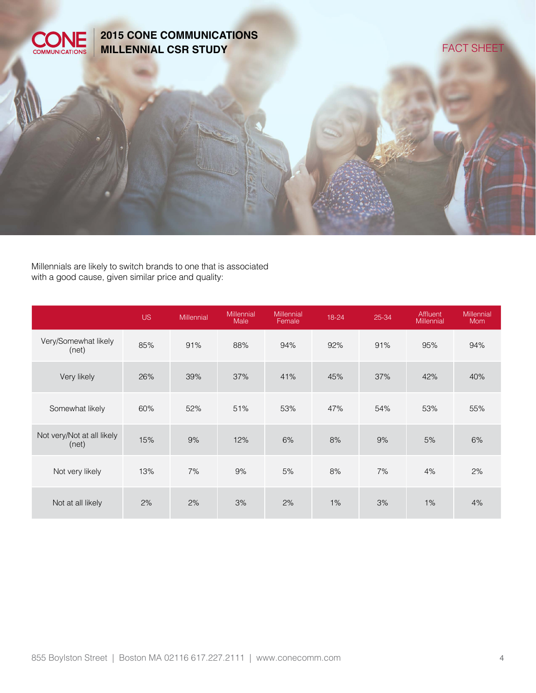

Millennials are likely to switch brands to one that is associated with a good cause, given similar price and quality:

|                                     | <b>US</b> | Millennial | Millennial<br>Male | <b>Millennial</b><br>Female | 18-24 | 25-34 | Affluent<br>Millennial | Millennial<br><b>Mom</b> |
|-------------------------------------|-----------|------------|--------------------|-----------------------------|-------|-------|------------------------|--------------------------|
| Very/Somewhat likely<br>(net)       | 85%       | 91%        | 88%                | 94%                         | 92%   | 91%   | 95%                    | 94%                      |
| Very likely                         | 26%       | 39%        | 37%                | 41%                         | 45%   | 37%   | 42%                    | 40%                      |
| Somewhat likely                     | 60%       | 52%        | 51%                | 53%                         | 47%   | 54%   | 53%                    | 55%                      |
| Not very/Not at all likely<br>(net) | 15%       | 9%         | 12%                | 6%                          | 8%    | 9%    | 5%                     | 6%                       |
| Not very likely                     | 13%       | 7%         | 9%                 | 5%                          | 8%    | 7%    | 4%                     | 2%                       |
| Not at all likely                   | 2%        | 2%         | 3%                 | 2%                          | 1%    | 3%    | 1%                     | 4%                       |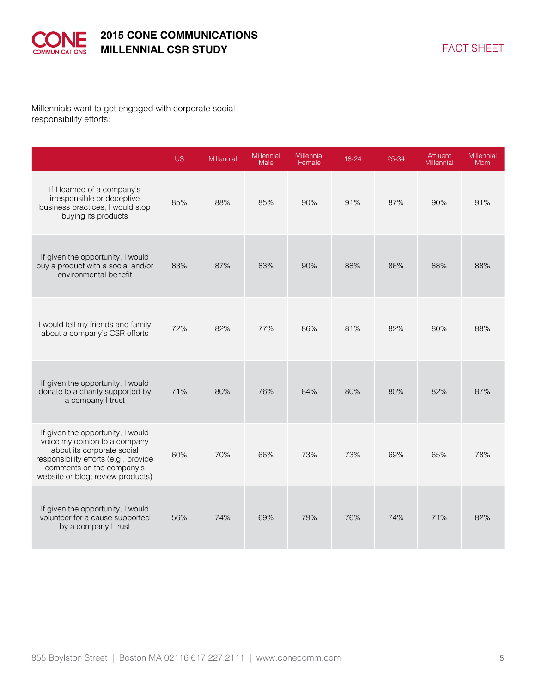

Millennials want to get engaged with corporate social responsibility efforts:

|                                                                                                                                                                                                             | <b>US</b> | Millennial | Millennial<br>Male | Millennial<br>Female | 18-24 | 25-34 | Affluent<br><b>Millennial</b> | Millennial<br><b>Mom</b> |
|-------------------------------------------------------------------------------------------------------------------------------------------------------------------------------------------------------------|-----------|------------|--------------------|----------------------|-------|-------|-------------------------------|--------------------------|
| If I learned of a company's<br>irresponsible or deceptive<br>business practices, I would stop<br>buying its products                                                                                        | 85%       | 88%        | 85%                | 90%                  | 91%   | 87%   | 90%                           | 91%                      |
| If given the opportunity, I would<br>buy a product with a social and/or<br>environmental benefit                                                                                                            | 83%       | 87%        | 83%                | 90%                  | 88%   | 86%   | 88%                           | 88%                      |
| I would tell my friends and family<br>about a company's CSR efforts                                                                                                                                         | 72%       | 82%        | 77%                | 86%                  | 81%   | 82%   | 80%                           | 88%                      |
| If given the opportunity, I would<br>donate to a charity supported by<br>a company I trust                                                                                                                  | 71%       | 80%        | 76%                | 84%                  | 80%   | 80%   | 82%                           | 87%                      |
| If given the opportunity, I would<br>voice my opinion to a company<br>about its corporate social<br>responsibility efforts (e.g., provide<br>comments on the company's<br>website or blog; review products) | 60%       | 70%        | 66%                | 73%                  | 73%   | 69%   | 65%                           | 78%                      |
| If given the opportunity, I would<br>volunteer for a cause supported<br>by a company I trust                                                                                                                | 56%       | 74%        | 69%                | 79%                  | 76%   | 74%   | 71%                           | 82%                      |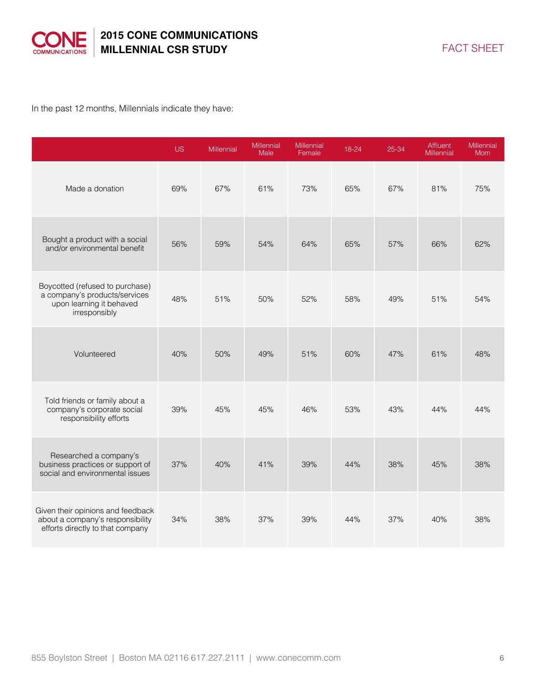

In the past 12 months, Millennials indicate they have:

|                                                                                                               | <b>US</b> | Millennial | Millennial<br><b>Male</b> | Millennial<br>Female | 18-24 | 25-34 | Affluent<br><b>Millennial</b> | Millennial<br><b>Mom</b> |
|---------------------------------------------------------------------------------------------------------------|-----------|------------|---------------------------|----------------------|-------|-------|-------------------------------|--------------------------|
| Made a donation                                                                                               | 69%       | 67%        | 61%                       | 73%                  | 65%   | 67%   | 81%                           | 75%                      |
| Bought a product with a social<br>and/or environmental benefit                                                | 56%       | 59%        | 54%                       | 64%                  | 65%   | 57%   | 66%                           | 62%                      |
| Boycotted (refused to purchase)<br>a company's products/services<br>upon learning it behaved<br>irresponsibly | 48%       | 51%        | 50%                       | 52%                  | 58%   | 49%   | 51%                           | 54%                      |
| Volunteered                                                                                                   | 40%       | 50%        | 49%                       | 51%                  | 60%   | 47%   | 61%                           | 48%                      |
| Told friends or family about a<br>company's corporate social<br>responsibility efforts                        | 39%       | 45%        | 45%                       | 46%                  | 53%   | 43%   | 44%                           | 44%                      |
| Researched a company's<br>business practices or support of<br>social and environmental issues                 | 37%       | 40%        | 41%                       | 39%                  | 44%   | 38%   | 45%                           | 38%                      |
| Given their opinions and feedback<br>about a company's responsibility<br>efforts directly to that company     | 34%       | 38%        | 37%                       | 39%                  | 44%   | 37%   | 40%                           | 38%                      |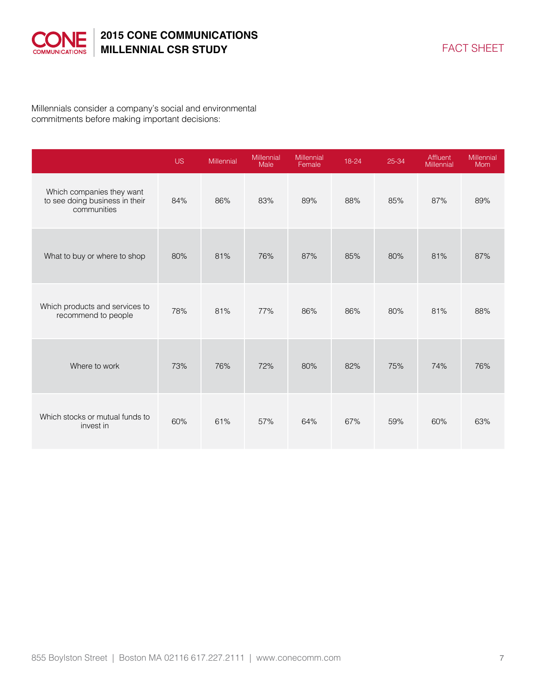

Millennials consider a company's social and environmental commitments before making important decisions:

|                                                                            | US. | Millennial | Millennial<br>Male | Millennial<br>Female | 18-24 | 25-34 | Affluent<br>Millennial | Millennial<br>Mom |
|----------------------------------------------------------------------------|-----|------------|--------------------|----------------------|-------|-------|------------------------|-------------------|
| Which companies they want<br>to see doing business in their<br>communities | 84% | 86%        | 83%                | 89%                  | 88%   | 85%   | 87%                    | 89%               |
| What to buy or where to shop                                               | 80% | 81%        | 76%                | 87%                  | 85%   | 80%   | 81%                    | 87%               |
| Which products and services to<br>recommend to people                      | 78% | 81%        | 77%                | 86%                  | 86%   | 80%   | 81%                    | 88%               |
| Where to work                                                              | 73% | 76%        | 72%                | 80%                  | 82%   | 75%   | 74%                    | 76%               |
| Which stocks or mutual funds to<br>invest in                               | 60% | 61%        | 57%                | 64%                  | 67%   | 59%   | 60%                    | 63%               |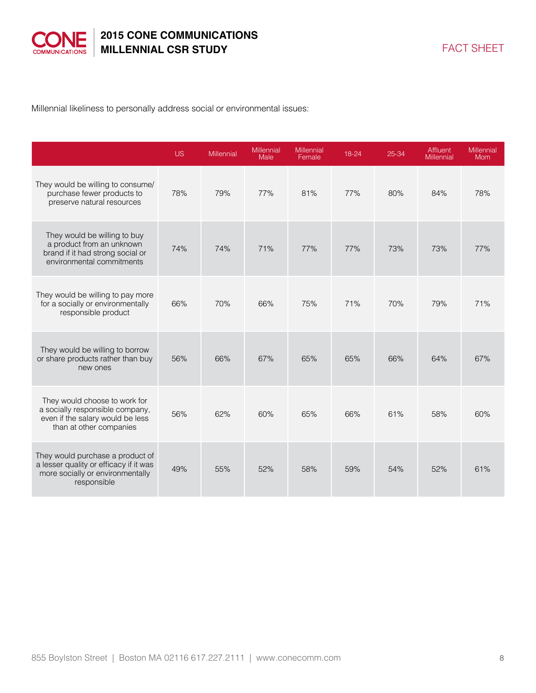

Millennial likeliness to personally address social or environmental issues:

|                                                                                                                                 | <b>US</b> | Millennial | Millennial<br>Male | Millennial<br>Female | 18-24 | 25-34 | <b>Affluent</b><br><b>Millennial</b> | Millennial<br><b>Mom</b> |
|---------------------------------------------------------------------------------------------------------------------------------|-----------|------------|--------------------|----------------------|-------|-------|--------------------------------------|--------------------------|
| They would be willing to consume/<br>purchase fewer products to<br>preserve natural resources                                   | 78%       | 79%        | 77%                | 81%                  | 77%   | 80%   | 84%                                  | 78%                      |
| They would be willing to buy<br>a product from an unknown<br>brand if it had strong social or<br>environmental commitments      | 74%       | 74%        | 71%                | 77%                  | 77%   | 73%   | 73%                                  | 77%                      |
| They would be willing to pay more<br>for a socially or environmentally<br>responsible product                                   | 66%       | 70%        | 66%                | 75%                  | 71%   | 70%   | 79%                                  | 71%                      |
| They would be willing to borrow<br>or share products rather than buy<br>new ones                                                | 56%       | 66%        | 67%                | 65%                  | 65%   | 66%   | 64%                                  | 67%                      |
| They would choose to work for<br>a socially responsible company,<br>even if the salary would be less<br>than at other companies | 56%       | 62%        | 60%                | 65%                  | 66%   | 61%   | 58%                                  | 60%                      |
| They would purchase a product of<br>a lesser quality or efficacy if it was<br>more socially or environmentally<br>responsible   | 49%       | 55%        | 52%                | 58%                  | 59%   | 54%   | 52%                                  | 61%                      |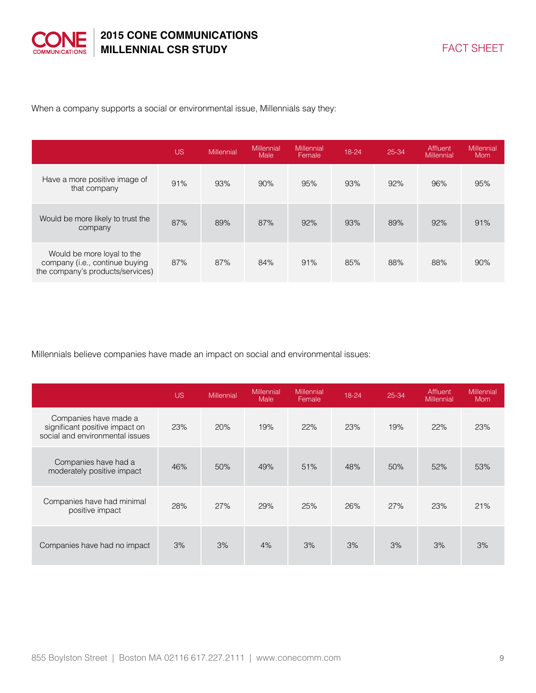

When a company supports a social or environmental issue, Millennials say they:

|                                                                                                  | <b>US</b> | Millennial | <b>Millennial</b><br>Male | Millennial<br>Female | 18-24 | 25-34 | Affluent<br>Millennial | <b>Millennial</b><br>Mom |
|--------------------------------------------------------------------------------------------------|-----------|------------|---------------------------|----------------------|-------|-------|------------------------|--------------------------|
| Have a more positive image of<br>that company                                                    | 91%       | 93%        | 90%                       | 95%                  | 93%   | 92%   | 96%                    | 95%                      |
| Would be more likely to trust the<br>company                                                     | 87%       | 89%        | 87%                       | 92%                  | 93%   | 89%   | 92%                    | 91%                      |
| Would be more loyal to the<br>company (i.e., continue buying<br>the company's products/services) | 87%       | 87%        | 84%                       | 91%                  | 85%   | 88%   | 88%                    | 90%                      |

Millennials believe companies have made an impact on social and environmental issues:

|                                                                                            | <b>US</b> | Millennial | <b>Millennial</b><br>Male | <b>Millennial</b><br>Female | 18-24 | 25-34 | Affluent<br><b>Millennial</b> | <b>Millennial</b><br>Mom |
|--------------------------------------------------------------------------------------------|-----------|------------|---------------------------|-----------------------------|-------|-------|-------------------------------|--------------------------|
| Companies have made a<br>significant positive impact on<br>social and environmental issues | 23%       | 20%        | 19%                       | 22%                         | 23%   | 19%   | 22%                           | 23%                      |
| Companies have had a<br>moderately positive impact                                         | 46%       | 50%        | 49%                       | 51%                         | 48%   | 50%   | 52%                           | 53%                      |
| Companies have had minimal<br>positive impact                                              | 28%       | 27%        | 29%                       | 25%                         | 26%   | 27%   | 23%                           | 21%                      |
| Companies have had no impact                                                               | 3%        | 3%         | 4%                        | 3%                          | 3%    | 3%    | 3%                            | 3%                       |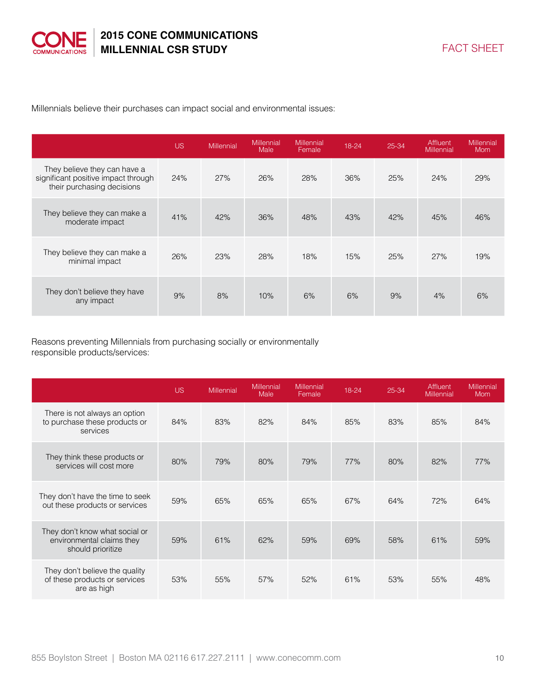

Millennials believe their purchases can impact social and environmental issues:

|                                                                                                   | US. | Millennial | Millennial<br>Male | <b>Millennial</b><br>Female | 18-24 | 25-34 | Affluent<br><b>Millennial</b> | Millennial<br><b>Mom</b> |
|---------------------------------------------------------------------------------------------------|-----|------------|--------------------|-----------------------------|-------|-------|-------------------------------|--------------------------|
| They believe they can have a<br>significant positive impact through<br>their purchasing decisions | 24% | 27%        | 26%                | 28%                         | 36%   | 25%   | 24%                           | 29%                      |
| They believe they can make a<br>moderate impact                                                   | 41% | 42%        | 36%                | 48%                         | 43%   | 42%   | 45%                           | 46%                      |
| They believe they can make a<br>minimal impact                                                    | 26% | 23%        | 28%                | 18%                         | 15%   | 25%   | 27%                           | 19%                      |
| They don't believe they have<br>any impact                                                        | 9%  | 8%         | 10%                | 6%                          | 6%    | 9%    | 4%                            | 6%                       |

Reasons preventing Millennials from purchasing socially or environmentally responsible products/services:

|                                                                                  | US. | Millennial | Millennial<br>Male | <b>Millennial</b><br>Female | 18-24 | 25-34 | Affluent<br>Millennial | <b>Millennial</b><br><b>Mom</b> |
|----------------------------------------------------------------------------------|-----|------------|--------------------|-----------------------------|-------|-------|------------------------|---------------------------------|
| There is not always an option<br>to purchase these products or<br>services       | 84% | 83%        | 82%                | 84%                         | 85%   | 83%   | 85%                    | 84%                             |
| They think these products or<br>services will cost more                          | 80% | 79%        | 80%                | 79%                         | 77%   | 80%   | 82%                    | 77%                             |
| They don't have the time to seek<br>out these products or services               | 59% | 65%        | 65%                | 65%                         | 67%   | 64%   | 72%                    | 64%                             |
| They don't know what social or<br>environmental claims they<br>should prioritize | 59% | 61%        | 62%                | 59%                         | 69%   | 58%   | 61%                    | 59%                             |
| They don't believe the quality<br>of these products or services<br>are as high   | 53% | 55%        | 57%                | 52%                         | 61%   | 53%   | 55%                    | 48%                             |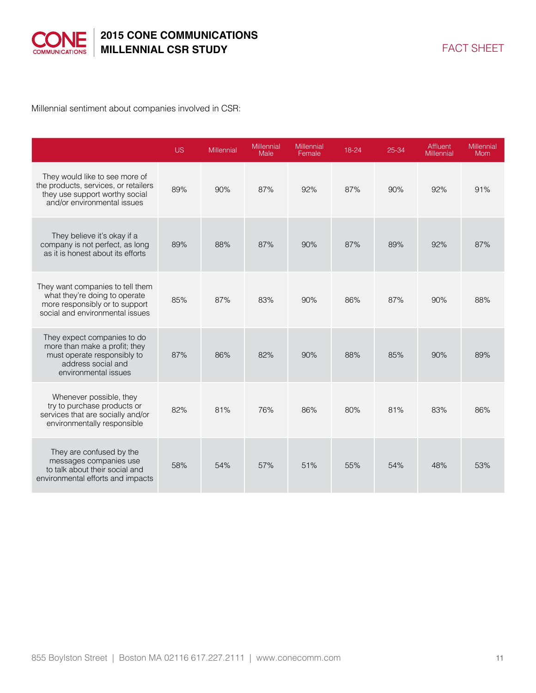

Millennial sentiment about companies involved in CSR:

|                                                                                                                                           | <b>US</b> | Millennial | Millennial<br>Male | <b>Millennial</b><br>Female | 18-24 | 25-34 | Affluent<br><b>Millennial</b> | Millennial<br><b>Mom</b> |
|-------------------------------------------------------------------------------------------------------------------------------------------|-----------|------------|--------------------|-----------------------------|-------|-------|-------------------------------|--------------------------|
| They would like to see more of<br>the products, services, or retailers<br>they use support worthy social<br>and/or environmental issues   | 89%       | 90%        | 87%                | 92%                         | 87%   | 90%   | 92%                           | 91%                      |
| They believe it's okay if a<br>company is not perfect, as long<br>as it is honest about its efforts                                       | 89%       | 88%        | 87%                | 90%                         | 87%   | 89%   | 92%                           | 87%                      |
| They want companies to tell them<br>what they're doing to operate<br>more responsibly or to support<br>social and environmental issues    | 85%       | 87%        | 83%                | 90%                         | 86%   | 87%   | 90%                           | 88%                      |
| They expect companies to do<br>more than make a profit; they<br>must operate responsibly to<br>address social and<br>environmental issues | 87%       | 86%        | 82%                | 90%                         | 88%   | 85%   | 90%                           | 89%                      |
| Whenever possible, they<br>try to purchase products or<br>services that are socially and/or<br>environmentally responsible                | 82%       | 81%        | 76%                | 86%                         | 80%   | 81%   | 83%                           | 86%                      |
| They are confused by the<br>messages companies use<br>to talk about their social and<br>environmental efforts and impacts                 | 58%       | 54%        | 57%                | 51%                         | 55%   | 54%   | 48%                           | 53%                      |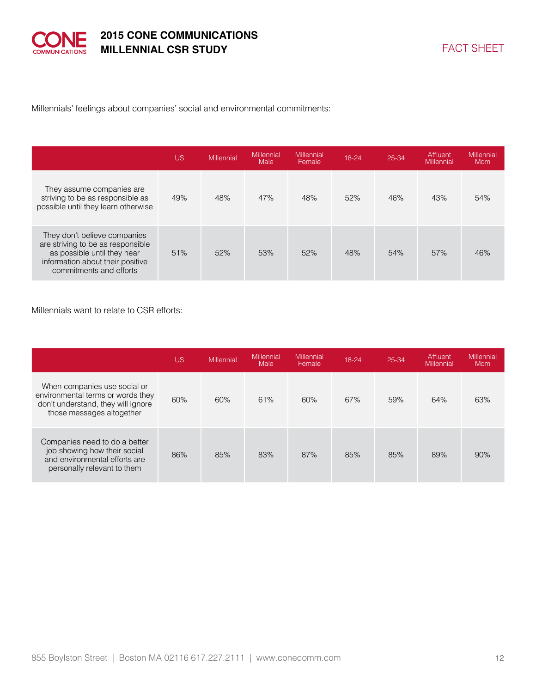

Millennials' feelings about companies' social and environmental commitments:

|                                                                                                                                                                 | US  | <b>Millennial</b> | <b>Millennial</b><br>Male | Millennial<br>Female | 18-24 | 25-34 | Affluent<br>Millennial | Millennial<br><b>Mom</b> |
|-----------------------------------------------------------------------------------------------------------------------------------------------------------------|-----|-------------------|---------------------------|----------------------|-------|-------|------------------------|--------------------------|
| They assume companies are<br>striving to be as responsible as<br>possible until they learn otherwise                                                            | 49% | 48%               | 47%                       | 48%                  | 52%   | 46%   | 43%                    | 54%                      |
| They don't believe companies<br>are striving to be as responsible<br>as possible until they hear<br>information about their positive<br>commitments and efforts | 51% | 52%               | 53%                       | 52%                  | 48%   | 54%   | 57%                    | 46%                      |

Millennials want to relate to CSR efforts:

|                                                                                                                                      | <b>US</b> | <b>Millennial</b> | Millennial<br>Male | Millennial<br>Female | 18-24 | 25-34 | Affluent<br><b>Millennial</b> | <b>Millennial</b><br>Mom |
|--------------------------------------------------------------------------------------------------------------------------------------|-----------|-------------------|--------------------|----------------------|-------|-------|-------------------------------|--------------------------|
| When companies use social or<br>environmental terms or words they<br>don't understand, they will ignore<br>those messages altogether | 60%       | 60%               | 61%                | 60%                  | 67%   | 59%   | 64%                           | 63%                      |
| Companies need to do a better<br>job showing how their social<br>and environmental efforts are<br>personally relevant to them        | 86%       | 85%               | 83%                | 87%                  | 85%   | 85%   | 89%                           | 90%                      |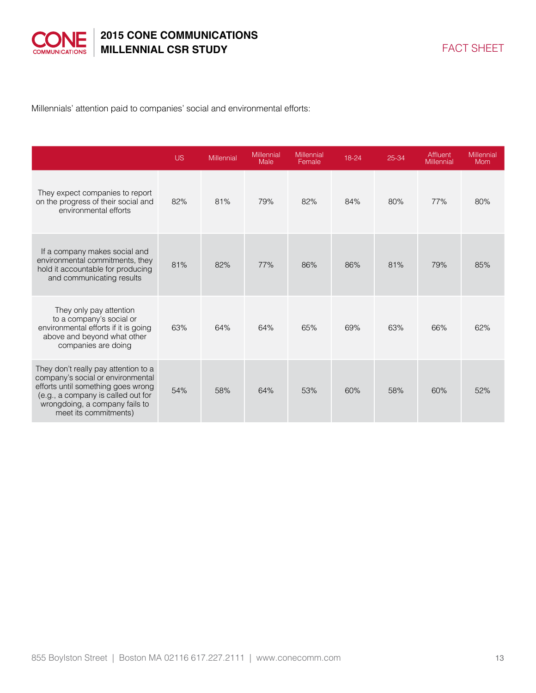

Millennials' attention paid to companies' social and environmental efforts:

|                                                                                                                                                                                                                  | <b>US</b> | Millennial | Millennial<br>Male | Millennial<br>Female | 18-24 | 25-34 | Affluent<br>Millennial | Millennial<br><b>Mom</b> |
|------------------------------------------------------------------------------------------------------------------------------------------------------------------------------------------------------------------|-----------|------------|--------------------|----------------------|-------|-------|------------------------|--------------------------|
| They expect companies to report<br>on the progress of their social and<br>environmental efforts                                                                                                                  | 82%       | 81%        | 79%                | 82%                  | 84%   | 80%   | 77%                    | 80%                      |
| If a company makes social and<br>environmental commitments, they<br>hold it accountable for producing<br>and communicating results                                                                               | 81%       | 82%        | 77%                | 86%                  | 86%   | 81%   | 79%                    | 85%                      |
| They only pay attention<br>to a company's social or<br>environmental efforts if it is going<br>above and beyond what other<br>companies are doing                                                                | 63%       | 64%        | 64%                | 65%                  | 69%   | 63%   | 66%                    | 62%                      |
| They don't really pay attention to a<br>company's social or environmental<br>efforts until something goes wrong<br>(e.g., a company is called out for<br>wrongdoing, a company fails to<br>meet its commitments) | 54%       | 58%        | 64%                | 53%                  | 60%   | 58%   | 60%                    | 52%                      |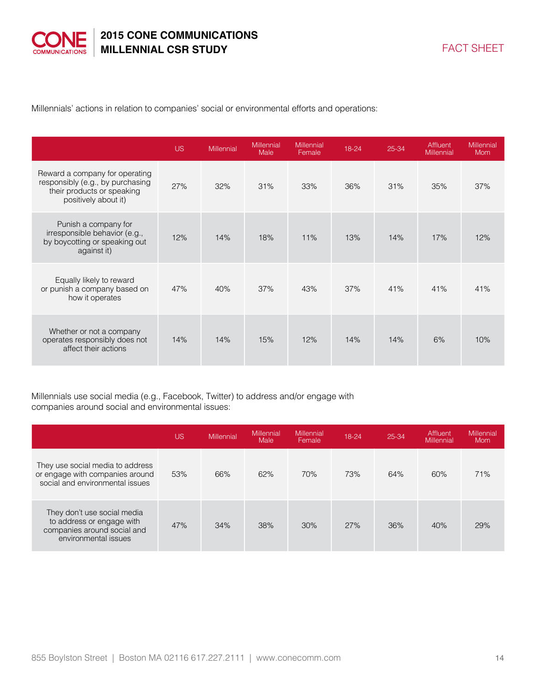

Millennials' actions in relation to companies' social or environmental efforts and operations:

|                                                                                                                          | <b>US</b> | Millennial | Millennial<br>Male | Millennial<br>Female | 18-24 | 25-34 | Affluent<br>Millennial | <b>Millennial</b><br><b>Mom</b> |
|--------------------------------------------------------------------------------------------------------------------------|-----------|------------|--------------------|----------------------|-------|-------|------------------------|---------------------------------|
| Reward a company for operating<br>responsibly (e.g., by purchasing<br>their products or speaking<br>positively about it) | 27%       | 32%        | 31%                | 33%                  | 36%   | 31%   | 35%                    | 37%                             |
| Punish a company for<br>irresponsible behavior (e.g.,<br>by boycotting or speaking out<br>against it)                    | 12%       | 14%        | 18%                | 11%                  | 13%   | 14%   | 17%                    | 12%                             |
| Equally likely to reward<br>or punish a company based on<br>how it operates                                              | 47%       | 40%        | 37%                | 43%                  | 37%   | 41%   | 41%                    | 41%                             |
| Whether or not a company<br>operates responsibly does not<br>affect their actions                                        | 14%       | 14%        | 15%                | 12%                  | 14%   | 14%   | 6%                     | 10%                             |

Millennials use social media (e.g., Facebook, Twitter) to address and/or engage with companies around social and environmental issues:

|                                                                                                                 | <b>US</b> | Millennial | <b>Millennial</b><br><b>Male</b> | Millennial<br>Female | 18-24 | 25-34 | Affluent<br>Millennial | Millennial<br>Mom |
|-----------------------------------------------------------------------------------------------------------------|-----------|------------|----------------------------------|----------------------|-------|-------|------------------------|-------------------|
| They use social media to address<br>or engage with companies around<br>social and environmental issues          | 53%       | 66%        | 62%                              | 70%                  | 73%   | 64%   | 60%                    | 71%               |
| They don't use social media<br>to address or engage with<br>companies around social and<br>environmental issues | 47%       | 34%        | 38%                              | 30%                  | 27%   | 36%   | 40%                    | 29%               |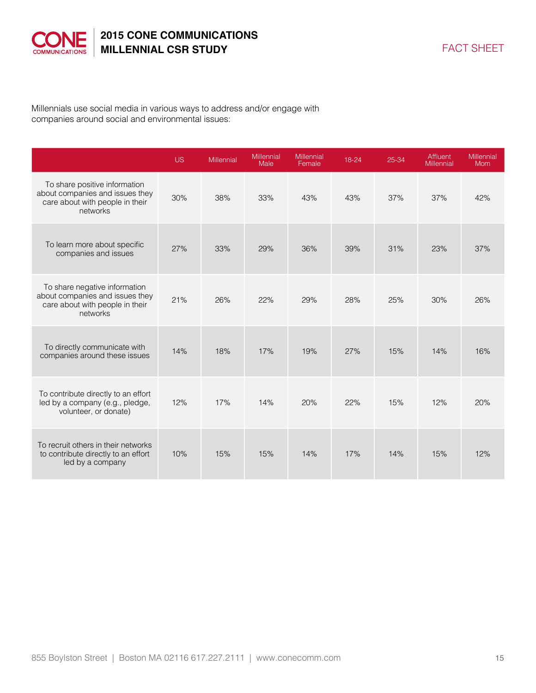

Millennials use social media in various ways to address and/or engage with companies around social and environmental issues:

|                                                                                                                 | <b>US</b> | Millennial | <b>Millennial</b><br>Male | Millennial<br>Female | 18-24 | 25-34 | Affluent<br><b>Millennial</b> | Millennial<br><b>Mom</b> |
|-----------------------------------------------------------------------------------------------------------------|-----------|------------|---------------------------|----------------------|-------|-------|-------------------------------|--------------------------|
| To share positive information<br>about companies and issues they<br>care about with people in their<br>networks | 30%       | 38%        | 33%                       | 43%                  | 43%   | 37%   | 37%                           | 42%                      |
| To learn more about specific<br>companies and issues                                                            | 27%       | 33%        | 29%                       | 36%                  | 39%   | 31%   | 23%                           | 37%                      |
| To share negative information<br>about companies and issues they<br>care about with people in their<br>networks | 21%       | 26%        | 22%                       | 29%                  | 28%   | 25%   | 30%                           | 26%                      |
| To directly communicate with<br>companies around these issues                                                   | 14%       | 18%        | 17%                       | 19%                  | 27%   | 15%   | 14%                           | 16%                      |
| To contribute directly to an effort<br>led by a company (e.g., pledge,<br>volunteer, or donate)                 | 12%       | 17%        | 14%                       | 20%                  | 22%   | 15%   | 12%                           | 20%                      |
| To recruit others in their networks<br>to contribute directly to an effort<br>led by a company                  | 10%       | 15%        | 15%                       | 14%                  | 17%   | 14%   | 15%                           | 12%                      |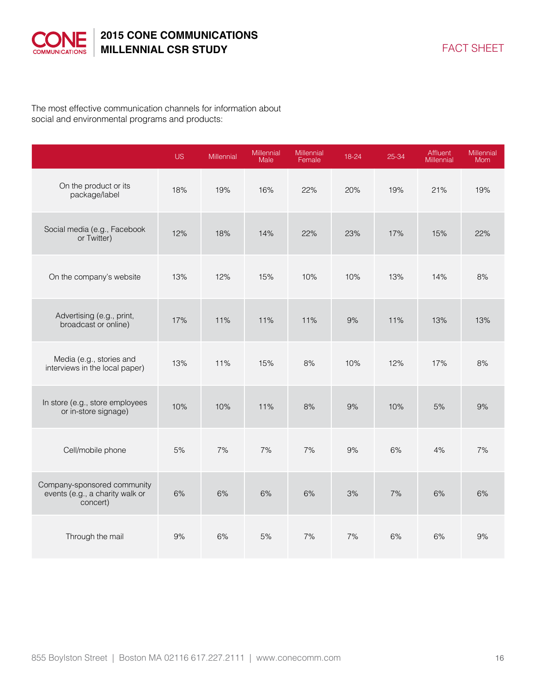

The most effective communication channels for information about social and environmental programs and products:

|                                                                            | <b>US</b> | Millennial | Millennial<br>Male | Millennial<br>Female | 18-24 | 25-34 | Affluent<br><b>Millennial</b> | Millennial<br>Mom |
|----------------------------------------------------------------------------|-----------|------------|--------------------|----------------------|-------|-------|-------------------------------|-------------------|
| On the product or its<br>package/label                                     | 18%       | 19%        | 16%                | 22%                  | 20%   | 19%   | 21%                           | 19%               |
| Social media (e.g., Facebook<br>or Twitter)                                | 12%       | 18%        | 14%                | 22%                  | 23%   | 17%   | 15%                           | 22%               |
| On the company's website                                                   | 13%       | 12%        | 15%                | 10%                  | 10%   | 13%   | 14%                           | 8%                |
| Advertising (e.g., print,<br>broadcast or online)                          | 17%       | 11%        | 11%                | 11%                  | 9%    | 11%   | 13%                           | 13%               |
| Media (e.g., stories and<br>interviews in the local paper)                 | 13%       | 11%        | 15%                | 8%                   | 10%   | 12%   | 17%                           | 8%                |
| In store (e.g., store employees<br>or in-store signage)                    | 10%       | 10%        | 11%                | 8%                   | 9%    | 10%   | 5%                            | 9%                |
| Cell/mobile phone                                                          | 5%        | 7%         | 7%                 | 7%                   | 9%    | 6%    | 4%                            | 7%                |
| Company-sponsored community<br>events (e.g., a charity walk or<br>concert) | 6%        | 6%         | 6%                 | 6%                   | 3%    | 7%    | 6%                            | 6%                |
| Through the mail                                                           | 9%        | 6%         | 5%                 | 7%                   | 7%    | 6%    | 6%                            | 9%                |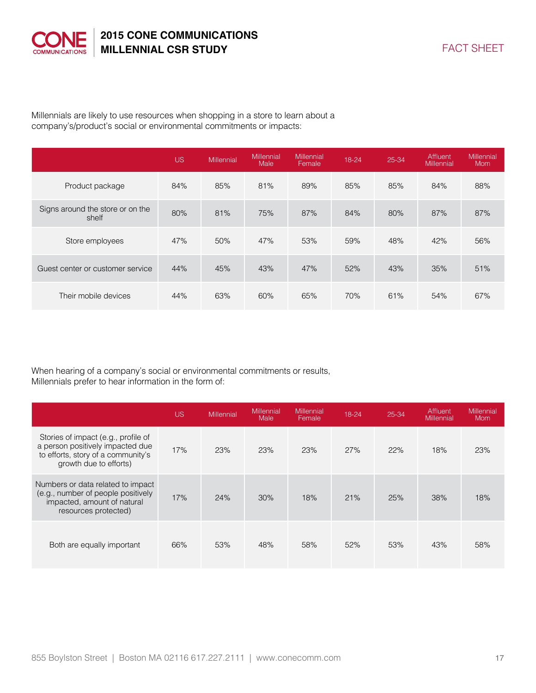

Millennials are likely to use resources when shopping in a store to learn about a company's/product's social or environmental commitments or impacts:

|                                           | <b>US</b> | Millennial | <b>Millennial</b><br><b>Male</b> | Millennial<br>Female | 18-24 | 25-34 | Affluent<br>Millennial | <b>Millennial</b><br><b>Mom</b> |
|-------------------------------------------|-----------|------------|----------------------------------|----------------------|-------|-------|------------------------|---------------------------------|
| Product package                           | 84%       | 85%        | 81%                              | 89%                  | 85%   | 85%   | 84%                    | 88%                             |
| Signs around the store or on the<br>shelf | 80%       | 81%        | 75%                              | 87%                  | 84%   | 80%   | 87%                    | 87%                             |
| Store employees                           | 47%       | 50%        | 47%                              | 53%                  | 59%   | 48%   | 42%                    | 56%                             |
| Guest center or customer service          | 44%       | 45%        | 43%                              | 47%                  | 52%   | 43%   | 35%                    | 51%                             |
| Their mobile devices                      | 44%       | 63%        | 60%                              | 65%                  | 70%   | 61%   | 54%                    | 67%                             |

When hearing of a company's social or environmental commitments or results, Millennials prefer to hear information in the form of:

|                                                                                                                                         | <b>US</b> | Millennial | <b>Millennial</b><br>Male | Millennial<br>Female | 18-24 | 25-34 | Affluent<br><b>Millennial</b> | Millennial<br><b>Mom</b> |
|-----------------------------------------------------------------------------------------------------------------------------------------|-----------|------------|---------------------------|----------------------|-------|-------|-------------------------------|--------------------------|
| Stories of impact (e.g., profile of<br>a person positively impacted due<br>to efforts, story of a community's<br>growth due to efforts) | 17%       | 23%        | 23%                       | 23%                  | 27%   | 22%   | 18%                           | 23%                      |
| Numbers or data related to impact<br>(e.g., number of people positively<br>impacted, amount of natural<br>resources protected)          | 17%       | 24%        | 30%                       | 18%                  | 21%   | 25%   | 38%                           | 18%                      |
| Both are equally important                                                                                                              | 66%       | 53%        | 48%                       | 58%                  | 52%   | 53%   | 43%                           | 58%                      |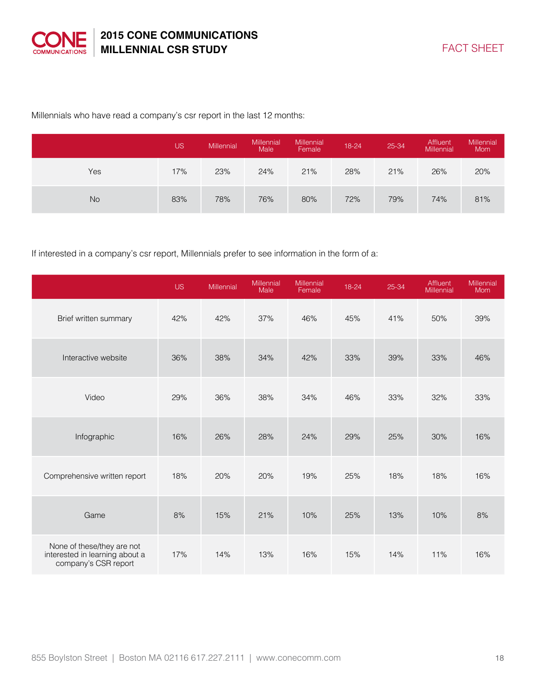

#### Millennials who have read a company's csr report in the last 12 months:

|           | <b>US</b> | Millennial | <b>Millennial</b><br>Male | Millennial<br>Female | 18-24 | 25-34 | Affluent<br>Millennial | Millennial<br><b>Mom</b> |
|-----------|-----------|------------|---------------------------|----------------------|-------|-------|------------------------|--------------------------|
| Yes       | 17%       | 23%        | 24%                       | 21%                  | 28%   | 21%   | 26%                    | 20%                      |
| <b>No</b> | 83%       | 78%        | 76%                       | 80%                  | 72%   | 79%   | 74%                    | 81%                      |

#### If interested in a company's csr report, Millennials prefer to see information in the form of a:

|                                                                                      | US. | <b>Millennial</b> | Millennial<br>Male | Millennial<br>Female | 18-24 | 25-34 | Affluent<br>Millennial | Millennial<br>Mom |
|--------------------------------------------------------------------------------------|-----|-------------------|--------------------|----------------------|-------|-------|------------------------|-------------------|
| Brief written summary                                                                | 42% | 42%               | 37%                | 46%                  | 45%   | 41%   | 50%                    | 39%               |
| Interactive website                                                                  | 36% | 38%               | 34%                | 42%                  | 33%   | 39%   | 33%                    | 46%               |
| Video                                                                                | 29% | 36%               | 38%                | 34%                  | 46%   | 33%   | 32%                    | 33%               |
| Infographic                                                                          | 16% | 26%               | 28%                | 24%                  | 29%   | 25%   | 30%                    | 16%               |
| Comprehensive written report                                                         | 18% | 20%               | 20%                | 19%                  | 25%   | 18%   | 18%                    | 16%               |
| Game                                                                                 | 8%  | 15%               | 21%                | 10%                  | 25%   | 13%   | 10%                    | 8%                |
| None of these/they are not<br>interested in learning about a<br>company's CSR report | 17% | 14%               | 13%                | 16%                  | 15%   | 14%   | 11%                    | 16%               |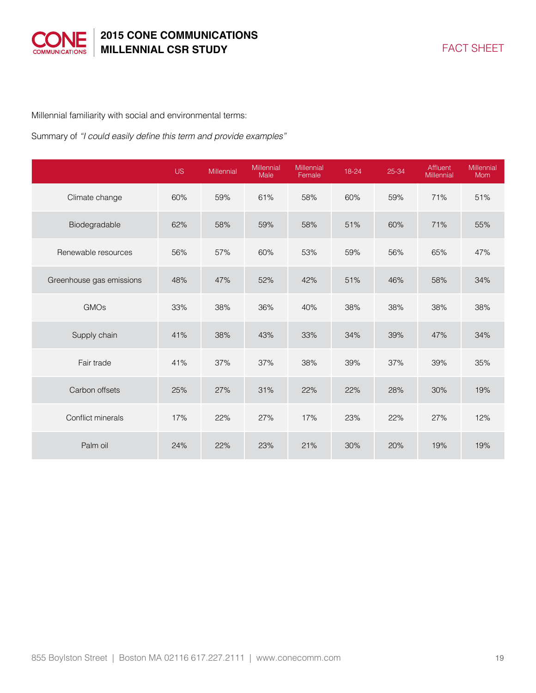

Millennial familiarity with social and environmental terms:

Summary of "I could easily define this term and provide examples"

|                          | <b>US</b> | Millennial | Millennial<br>Male | Millennial<br>Female | 18-24 | 25-34 | Affluent<br>Millennial | Millennial<br>Mom |
|--------------------------|-----------|------------|--------------------|----------------------|-------|-------|------------------------|-------------------|
| Climate change           | 60%       | 59%        | 61%                | 58%                  | 60%   | 59%   | 71%                    | 51%               |
| Biodegradable            | 62%       | 58%        | 59%                | 58%                  | 51%   | 60%   | 71%                    | 55%               |
| Renewable resources      | 56%       | 57%        | 60%                | 53%                  | 59%   | 56%   | 65%                    | 47%               |
| Greenhouse gas emissions | 48%       | 47%        | 52%                | 42%                  | 51%   | 46%   | 58%                    | 34%               |
| <b>GMOs</b>              | 33%       | 38%        | 36%                | 40%                  | 38%   | 38%   | 38%                    | 38%               |
| Supply chain             | 41%       | 38%        | 43%                | 33%                  | 34%   | 39%   | 47%                    | 34%               |
| Fair trade               | 41%       | 37%        | 37%                | 38%                  | 39%   | 37%   | 39%                    | 35%               |
| Carbon offsets           | 25%       | 27%        | 31%                | 22%                  | 22%   | 28%   | 30%                    | 19%               |
| Conflict minerals        | 17%       | 22%        | 27%                | 17%                  | 23%   | 22%   | 27%                    | 12%               |
| Palm oil                 | 24%       | 22%        | 23%                | 21%                  | 30%   | 20%   | 19%                    | 19%               |